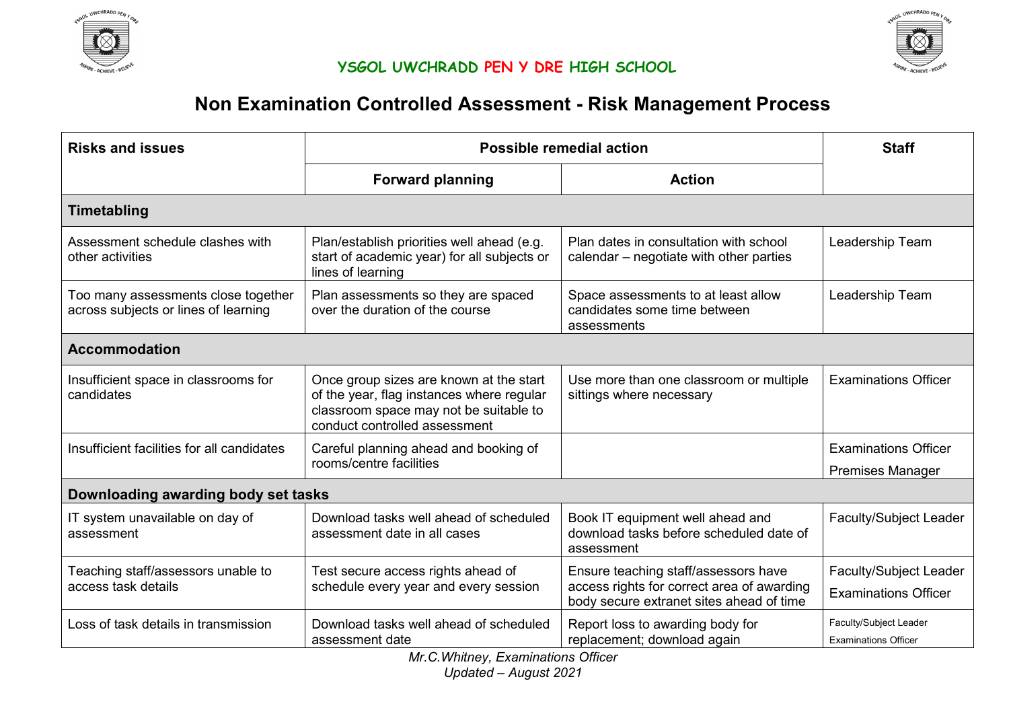



# **Non Examination Controlled Assessment - Risk Management Process**

| <b>Risks and issues</b>                                                     | Possible remedial action                                                                                                                                        | <b>Staff</b>                                                                                                                   |                                                              |  |  |
|-----------------------------------------------------------------------------|-----------------------------------------------------------------------------------------------------------------------------------------------------------------|--------------------------------------------------------------------------------------------------------------------------------|--------------------------------------------------------------|--|--|
|                                                                             | <b>Forward planning</b>                                                                                                                                         | <b>Action</b>                                                                                                                  |                                                              |  |  |
| <b>Timetabling</b>                                                          |                                                                                                                                                                 |                                                                                                                                |                                                              |  |  |
| Assessment schedule clashes with<br>other activities                        | Plan/establish priorities well ahead (e.g.<br>start of academic year) for all subjects or<br>lines of learning                                                  | Plan dates in consultation with school<br>calendar – negotiate with other parties                                              | Leadership Team                                              |  |  |
| Too many assessments close together<br>across subjects or lines of learning | Plan assessments so they are spaced<br>over the duration of the course                                                                                          | Space assessments to at least allow<br>candidates some time between<br>assessments                                             | Leadership Team                                              |  |  |
| <b>Accommodation</b>                                                        |                                                                                                                                                                 |                                                                                                                                |                                                              |  |  |
| Insufficient space in classrooms for<br>candidates                          | Once group sizes are known at the start<br>of the year, flag instances where regular<br>classroom space may not be suitable to<br>conduct controlled assessment | Use more than one classroom or multiple<br>sittings where necessary                                                            | <b>Examinations Officer</b>                                  |  |  |
| Insufficient facilities for all candidates                                  | Careful planning ahead and booking of<br>rooms/centre facilities                                                                                                |                                                                                                                                | <b>Examinations Officer</b><br><b>Premises Manager</b>       |  |  |
| Downloading awarding body set tasks                                         |                                                                                                                                                                 |                                                                                                                                |                                                              |  |  |
| IT system unavailable on day of<br>assessment                               | Download tasks well ahead of scheduled<br>assessment date in all cases                                                                                          | Book IT equipment well ahead and<br>download tasks before scheduled date of<br>assessment                                      | <b>Faculty/Subject Leader</b>                                |  |  |
| Teaching staff/assessors unable to<br>access task details                   | Test secure access rights ahead of<br>schedule every year and every session                                                                                     | Ensure teaching staff/assessors have<br>access rights for correct area of awarding<br>body secure extranet sites ahead of time | <b>Faculty/Subject Leader</b><br><b>Examinations Officer</b> |  |  |
| Loss of task details in transmission                                        | Download tasks well ahead of scheduled<br>assessment date                                                                                                       | Report loss to awarding body for<br>replacement; download again                                                                | Faculty/Subject Leader<br><b>Examinations Officer</b>        |  |  |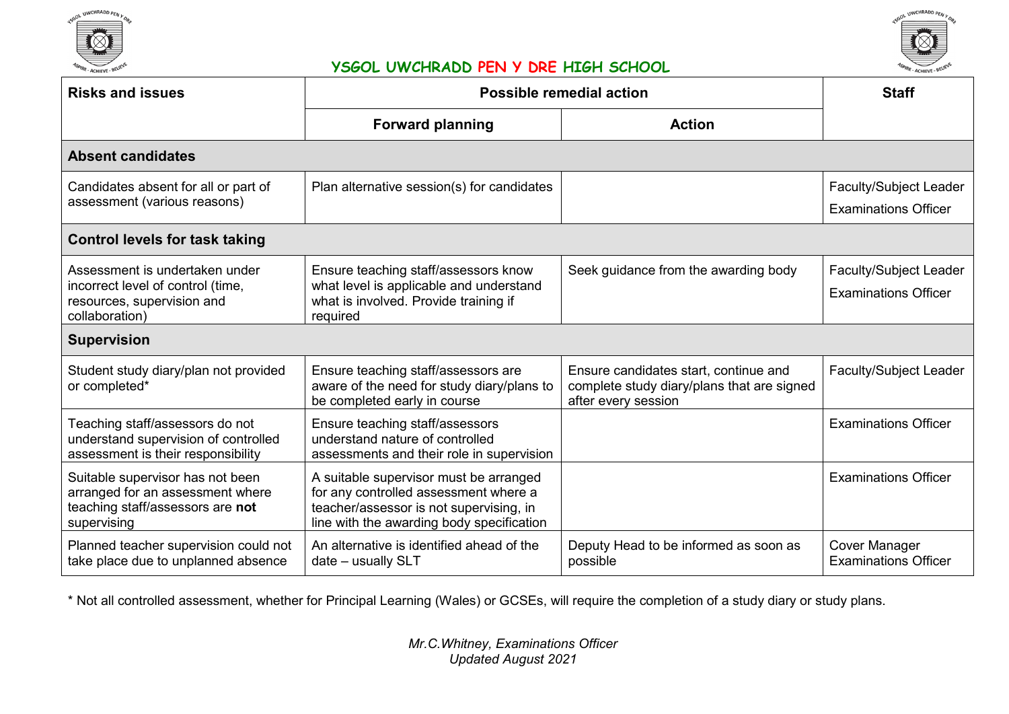



| <b>Risks and issues</b>                                                                                                 | <b>Possible remedial action</b>                                                                                                                                         | <b>Staff</b>                                                                                               |                                                              |  |  |
|-------------------------------------------------------------------------------------------------------------------------|-------------------------------------------------------------------------------------------------------------------------------------------------------------------------|------------------------------------------------------------------------------------------------------------|--------------------------------------------------------------|--|--|
|                                                                                                                         | <b>Forward planning</b>                                                                                                                                                 | <b>Action</b>                                                                                              |                                                              |  |  |
| <b>Absent candidates</b>                                                                                                |                                                                                                                                                                         |                                                                                                            |                                                              |  |  |
| Candidates absent for all or part of<br>assessment (various reasons)                                                    | Plan alternative session(s) for candidates                                                                                                                              |                                                                                                            | Faculty/Subject Leader<br><b>Examinations Officer</b>        |  |  |
| <b>Control levels for task taking</b>                                                                                   |                                                                                                                                                                         |                                                                                                            |                                                              |  |  |
| Assessment is undertaken under<br>incorrect level of control (time,<br>resources, supervision and<br>collaboration)     | Ensure teaching staff/assessors know<br>what level is applicable and understand<br>what is involved. Provide training if<br>required                                    | Seek guidance from the awarding body                                                                       | <b>Faculty/Subject Leader</b><br><b>Examinations Officer</b> |  |  |
| <b>Supervision</b>                                                                                                      |                                                                                                                                                                         |                                                                                                            |                                                              |  |  |
| Student study diary/plan not provided<br>or completed*                                                                  | Ensure teaching staff/assessors are<br>aware of the need for study diary/plans to<br>be completed early in course                                                       | Ensure candidates start, continue and<br>complete study diary/plans that are signed<br>after every session | Faculty/Subject Leader                                       |  |  |
| Teaching staff/assessors do not<br>understand supervision of controlled<br>assessment is their responsibility           | Ensure teaching staff/assessors<br>understand nature of controlled<br>assessments and their role in supervision                                                         |                                                                                                            | <b>Examinations Officer</b>                                  |  |  |
| Suitable supervisor has not been<br>arranged for an assessment where<br>teaching staff/assessors are not<br>supervising | A suitable supervisor must be arranged<br>for any controlled assessment where a<br>teacher/assessor is not supervising, in<br>line with the awarding body specification |                                                                                                            | <b>Examinations Officer</b>                                  |  |  |
| Planned teacher supervision could not<br>take place due to unplanned absence                                            | An alternative is identified ahead of the<br>date - usually SLT                                                                                                         | Deputy Head to be informed as soon as<br>possible                                                          | <b>Cover Manager</b><br><b>Examinations Officer</b>          |  |  |

\* Not all controlled assessment, whether for Principal Learning (Wales) or GCSEs, will require the completion of a study diary or study plans.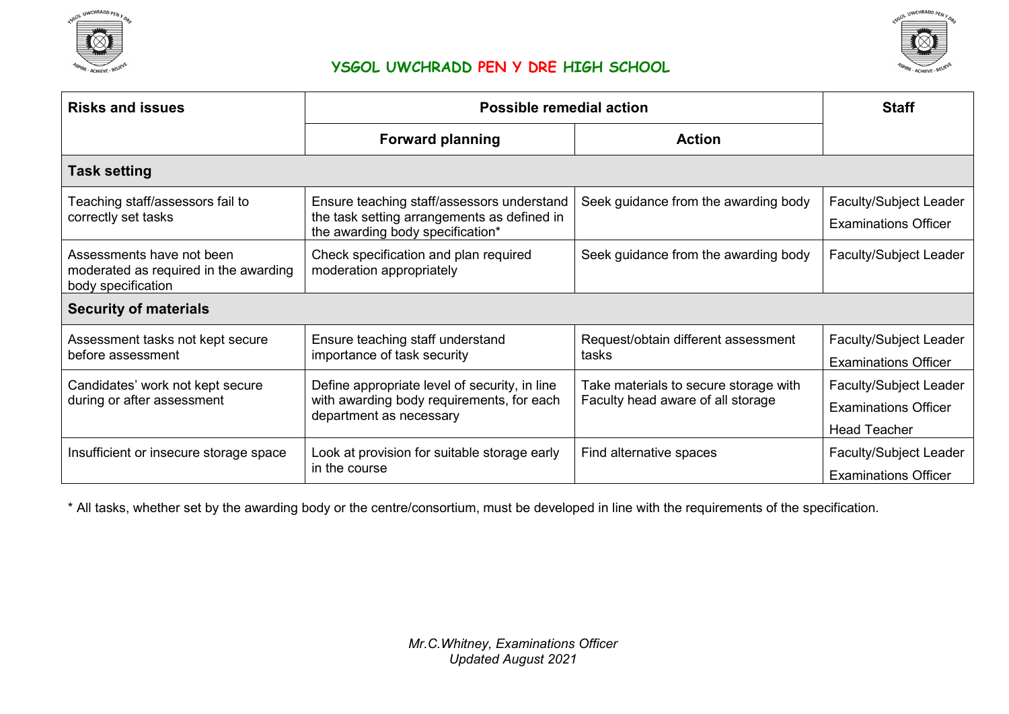



| <b>Risks and issues</b>                                                                  | <b>Possible remedial action</b>                                                                                               | <b>Staff</b>                                                               |                                                                              |  |  |
|------------------------------------------------------------------------------------------|-------------------------------------------------------------------------------------------------------------------------------|----------------------------------------------------------------------------|------------------------------------------------------------------------------|--|--|
|                                                                                          | <b>Forward planning</b>                                                                                                       | <b>Action</b>                                                              |                                                                              |  |  |
| <b>Task setting</b>                                                                      |                                                                                                                               |                                                                            |                                                                              |  |  |
| Teaching staff/assessors fail to<br>correctly set tasks                                  | Ensure teaching staff/assessors understand<br>the task setting arrangements as defined in<br>the awarding body specification* | Seek guidance from the awarding body                                       | <b>Faculty/Subject Leader</b><br><b>Examinations Officer</b>                 |  |  |
| Assessments have not been<br>moderated as required in the awarding<br>body specification | Check specification and plan required<br>moderation appropriately                                                             | Seek guidance from the awarding body                                       | <b>Faculty/Subject Leader</b>                                                |  |  |
| <b>Security of materials</b>                                                             |                                                                                                                               |                                                                            |                                                                              |  |  |
| Assessment tasks not kept secure<br>before assessment                                    | Ensure teaching staff understand<br>importance of task security                                                               | Request/obtain different assessment<br>tasks                               | Faculty/Subject Leader<br><b>Examinations Officer</b>                        |  |  |
| Candidates' work not kept secure<br>during or after assessment                           | Define appropriate level of security, in line<br>with awarding body requirements, for each<br>department as necessary         | Take materials to secure storage with<br>Faculty head aware of all storage | Faculty/Subject Leader<br><b>Examinations Officer</b><br><b>Head Teacher</b> |  |  |
| Insufficient or insecure storage space                                                   | Look at provision for suitable storage early<br>in the course                                                                 | Find alternative spaces                                                    | Faculty/Subject Leader<br><b>Examinations Officer</b>                        |  |  |

\* All tasks, whether set by the awarding body or the centre/consortium, must be developed in line with the requirements of the specification.